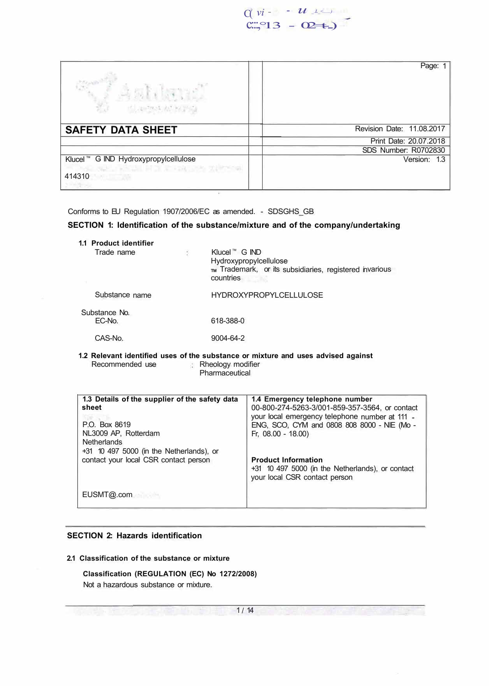

| anan<br>M<br>Astilend<br>化溴乙基 经预购                                                                              | Page: 1                   |
|----------------------------------------------------------------------------------------------------------------|---------------------------|
| <b>SAFETY DATA SHEET</b>                                                                                       | Revision Date: 11.08.2017 |
|                                                                                                                | Print Date: 20.07.2018    |
|                                                                                                                | SDS Number: R0702830      |
| Klucel ™ G IND Hydroxypropylcellulose<br>요. 제품은 물론 대표를 위해 있는 다른 것을 것 같아요?<br>414310<br><b>NAME OF BUILDING</b> | Version: 1.3              |

Conforms to EU Regulation 1907/2006/EC as amended. - SDSGHS\_GB

# **SECTION 1: Identification of the substance/mixture and of the company/undertaking**

| 1.1 Product identifier<br>Trade name | ł. | Klucel™ G IND<br>Hydroxypropylcellulose<br>TM Trademark, or its subsidiaries, registered invarious<br>countries |
|--------------------------------------|----|-----------------------------------------------------------------------------------------------------------------|
| Substance name                       |    | <b>HYDROXYPROPYLCELLULOSE</b>                                                                                   |
| Substance No.<br>EC-No.              |    | 618-388-0                                                                                                       |
| CAS-No.                              |    | 9004-64-2                                                                                                       |
|                                      |    |                                                                                                                 |

#### **1.2 Relevant identified uses of the substance or mixture and uses advised against**  Rheology modifier **Pharmaceutical**

| 1.3 Details of the supplier of the safety data<br>sheet<br>P.O. Box 8619<br>NL3009 AP, Rotterdam<br><b>Netherlands</b> | 1.4 Emergency telephone number<br>00-800-274-5263-3/001-859-357-3564, or contact<br>your local emergency telephone number at 111 -<br>ENG, SCO, CYM and 0808 808 8000 - NIE (Mo -<br>Fr. 08.00 - 18.00) |
|------------------------------------------------------------------------------------------------------------------------|---------------------------------------------------------------------------------------------------------------------------------------------------------------------------------------------------------|
| +31 10 497 5000 (in the Netherlands), or<br>contact your local CSR contact person                                      | <b>Product Information</b><br>+31 10 497 5000 (in the Netherlands), or contact<br>your local CSR contact person                                                                                         |
| EUSMT@.com                                                                                                             |                                                                                                                                                                                                         |

## **SECTION 2: Hazards identification**

# **2.1 Classification of the substance or mixture**

**Classification (REGULATION (EC) No 1272/2008)**  Not a hazardous substance or mixture.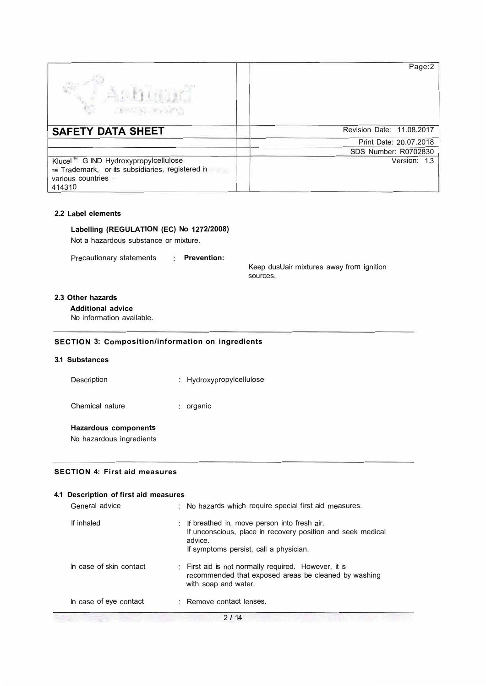| DENUSS RANGE                                                                                                             | Page:2                    |
|--------------------------------------------------------------------------------------------------------------------------|---------------------------|
| <b>SAFETY DATA SHEET</b>                                                                                                 | Revision Date: 11.08.2017 |
|                                                                                                                          | Print Date: 20.07.2018    |
|                                                                                                                          | SDS Number: R0702830      |
| Klucel ™ G IND Hydroxypropylcellulose<br>TM Trademark, or its subsidiaries, registered in<br>various countries<br>414310 | Version: 1.3              |

## **2.2 Label elements**

**Labelling (REGULATION (EC) No 1272/2008)** 

Not a hazardous substance or mixture.

Precautionary statements **Prevention:** 

Keep dusUair mixtures away from ignition sources.

## **2.3 Other hazards**

**Additional advice** 

No information available.

# **SECTION 3: Composition/information on ingredients**

# **3.1 Substances**

| Description     | : Hydroxypropylcellulose |
|-----------------|--------------------------|
| Chemical nature | organic                  |

# **Hazardous components**

No hazardous ingredients

### **SECTION 4: First aid measures**

| 4.1 Description of first aid measures |    |                                                                                                                                                                 |  |
|---------------------------------------|----|-----------------------------------------------------------------------------------------------------------------------------------------------------------------|--|
| General advice                        |    | No hazards which require special first aid measures.                                                                                                            |  |
| If inhaled                            | K. | If breathed in, move person into fresh air.<br>If unconscious, place in recovery position and seek medical<br>advice.<br>If symptoms persist, call a physician. |  |
| In case of skin contact               |    | First aid is not normally required. However, it is<br>recommended that exposed areas be cleaned by washing<br>with soap and water.                              |  |
| In case of eye contact                |    | Remove contact lenses.                                                                                                                                          |  |
|                                       |    | 2114                                                                                                                                                            |  |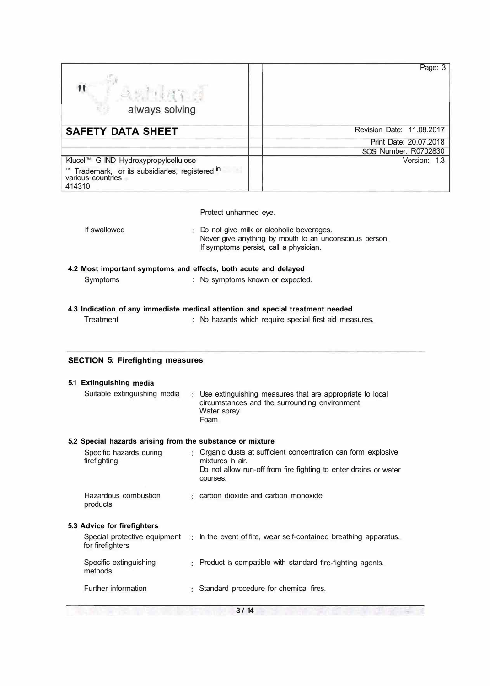| $\mathbf{u}$<br>anna a<br>always solving                                     | Page: 3                   |
|------------------------------------------------------------------------------|---------------------------|
| <b>SAFETY DATA SHEET</b>                                                     | Revision Date: 11.08.2017 |
|                                                                              | Print Date: 20.07.2018    |
|                                                                              | SOS Number: R0702830      |
| Klucel ™ G IND Hydroxypropylcellulose                                        | Version: 1.3              |
| Trademark, or its subsidiaries, registered in<br>various countries<br>414310 |                           |

Protect unharmed eye.

If swallowed Do not give milk or alcoholic beverages. Never give anything by mouth to an unconscious person. If symptoms persist, call a physician.

# **4.2 Most important symptoms and effects, both acute and delayed**

| Symptoms | No symptoms known or expected. |  |
|----------|--------------------------------|--|
|----------|--------------------------------|--|

## **4.3 Indication of any immediate medical attention and special treatment needed**

| Treatment | No hazards which require special first aid measures. |
|-----------|------------------------------------------------------|
|-----------|------------------------------------------------------|

# **SECTION 5: Firefighting measures**

| 5.1 Extinguishing media                                   |                                                                                                                                     |
|-----------------------------------------------------------|-------------------------------------------------------------------------------------------------------------------------------------|
| Suitable extinguishing media                              | : Use extinguishing measures that are appropriate to local<br>circumstances and the surrounding environment.<br>Water spray<br>Foam |
| 5.2 Special hazards arising from the substance or mixture |                                                                                                                                     |
| Specific hazards during<br>firefighting                   | : Organic dusts at sufficient concentration can form explosive<br>mixtures in air.                                                  |
|                                                           | Do not allow run-off from fire fighting to enter drains or water<br>courses.                                                        |
| Hazardous combustion<br>products                          | : carbon dioxide and carbon monoxide                                                                                                |
| 5.3 Advice for firefighters                               |                                                                                                                                     |
| for firefighters                                          | Special protective equipment : h the event of fire, wear self-contained breathing apparatus.                                        |
| Specific extinguishing<br>methods                         | Product is compatible with standard fire-fighting agents.                                                                           |
| Further information                                       | Standard procedure for chemical fires.                                                                                              |

 $3/14$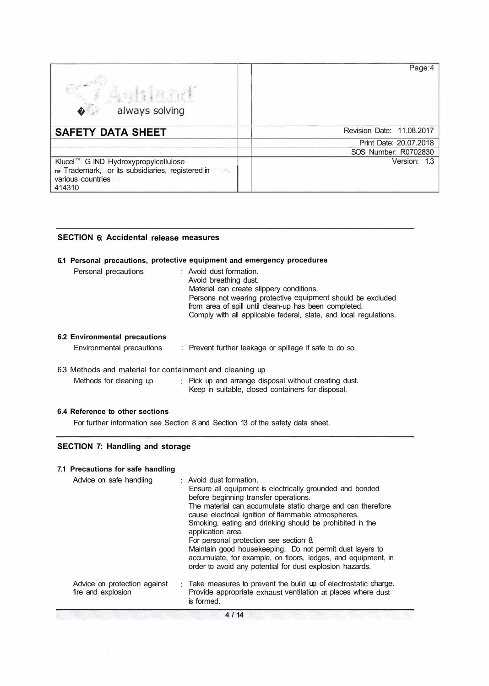| Aahland<br>always solving                                                                                                     | Page:4                    |
|-------------------------------------------------------------------------------------------------------------------------------|---------------------------|
| <b>SAFETY DATA SHEET</b>                                                                                                      | Revision Date: 11.08.2017 |
|                                                                                                                               | Print Date: 20.07.2018    |
|                                                                                                                               | SOS Number: R0702830      |
| Klucel ™ G IND Hydroxypropylcellulose<br>TM Trademark, or its subsidiaries, registered in<br>m<br>various countries<br>414310 | Version: 1.3              |

# **SECTION 6: Accidental release measures**

| Personal precautions                                                                |     | 6.1 Personal precautions, protective equipment and emergency procedures<br>: Avoid dust formation.<br>Avoid breathing dust.<br>Material can create slippery conditions.<br>Persons not wearing protective equipment should be excluded<br>from area of spill until clean-up has been completed.<br>Comply with all applicable federal, state, and local regulations. |
|-------------------------------------------------------------------------------------|-----|----------------------------------------------------------------------------------------------------------------------------------------------------------------------------------------------------------------------------------------------------------------------------------------------------------------------------------------------------------------------|
| 6.2 Environmental precautions<br>Environmental precautions                          |     | : Prevent further leakage or spillage if safe to do so.                                                                                                                                                                                                                                                                                                              |
| 6.3 Methods and material for containment and cleaning up<br>Methods for cleaning up | 新., | Pick up and arrange disposal without creating dust.<br>Keep in suitable, closed containers for disposal.                                                                                                                                                                                                                                                             |

# **6.4 Reference to other sections**

For further information see Section 8 and Section 13 of the safety data sheet.

# **SECTION 7: Handling and storage**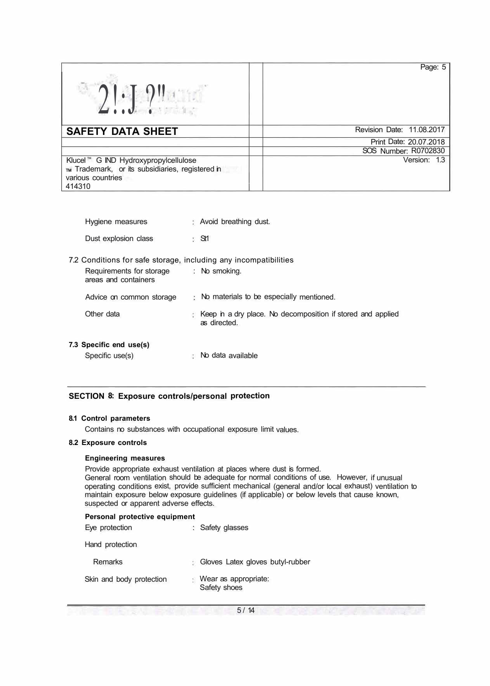| $2! \cdot 7$                                                                                                             | Page: 5                   |
|--------------------------------------------------------------------------------------------------------------------------|---------------------------|
| <b>SAFETY DATA SHEET</b>                                                                                                 | Revision Date: 11.08.2017 |
|                                                                                                                          | Print Date: 20.07.2018    |
|                                                                                                                          | SOS Number: R0702830      |
| Klucel ™ G IND Hydroxypropylcellulose<br>TM Trademark, or its subsidiaries, registered in<br>various countries<br>414310 | Version: 1.3              |

| Hygiene measures                                                                                                                   | : Avoid breathing dust.                                                       |
|------------------------------------------------------------------------------------------------------------------------------------|-------------------------------------------------------------------------------|
| Dust explosion class                                                                                                               | 5S1                                                                           |
| 7.2 Conditions for safe storage, including any incompatibilities<br>Requirements for storage : No smoking.<br>areas and containers |                                                                               |
| Advice on common storage                                                                                                           | : No materials to be especially mentioned.                                    |
| Other data                                                                                                                         | : Keep in a dry place. No decomposition if stored and applied<br>as directed. |
| 7.3 Specific end use(s)<br>Specific use(s)                                                                                         | No data available                                                             |

# **SECTION 8: Exposure controls/personal protection**

### **8.1 Control parameters**

Contains no substances with occupational exposure limit values.

#### **8.2 Exposure controls**

#### **Engineering measures**

Provide appropriate exhaust ventilation at places where dust is formed.

General room ventilation should be adequate for normal conditions of use. However, if unusual operating conditions exist, provide sufficient mechanical (general and/or local exhaust) ventilation to maintain exposure below exposure guidelines (if applicable) or below levels that cause known, suspected or apparent adverse effects.

#### **Personal protective equipment**

| Eye protection           | : Safety glasses                       |
|--------------------------|----------------------------------------|
| Hand protection          |                                        |
| Remarks                  | : Gloves Latex gloves butyl-rubber     |
| Skin and body protection | : Wear as appropriate:<br>Safety shoes |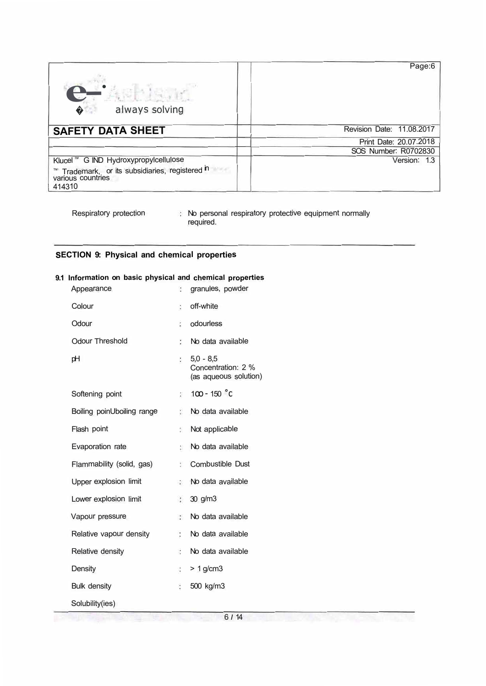| O<br>always solving<br>♦                                                                                              | Page:6                    |
|-----------------------------------------------------------------------------------------------------------------------|---------------------------|
| <b>SAFETY DATA SHEET</b>                                                                                              | Revision Date: 11.08.2017 |
|                                                                                                                       | Print Date: 20.07.2018    |
|                                                                                                                       | SOS Number: R0702830      |
| Klucel ™ G IND Hydroxypropylcellulose<br>Trademark, or its subsidiaries, registered in<br>various countries<br>414310 | Version: 1.3              |

**LE BUY SIGHT AT EACH TO DE** 

Respiratory protection  $\qquad$  : No personal respiratory protective equipment normally required.

# **SECTION 9: Physical and chemical properties**

# **9.1 Information on basic physical and chemical properties**

| Appearance                 | ÷                    | granules, powder                                           |
|----------------------------|----------------------|------------------------------------------------------------|
| Colour                     | ÷                    | off-white                                                  |
| Odour                      | $\ddot{\phantom{a}}$ | odourless                                                  |
| <b>Odour Threshold</b>     | $\ddot{\cdot}$       | No data available                                          |
| рH                         | ÷                    | $5.0 - 8.5$<br>Concentration: 2 %<br>(as aqueous solution) |
| Softening point            | ţ.                   | $100 - 150$ °C                                             |
| Boiling poinUboiling range | ÷.                   | No data available                                          |
| Flash point                | ŝ.                   | Not applicable                                             |
| Evaporation rate           | 設                    | No data available                                          |
| Flammability (solid, gas)  | Ŷ.                   | <b>Combustible Dust</b>                                    |
| Upper explosion limit      | $\mathbb{R}$         | No data available                                          |
| Lower explosion limit      | O.                   | 30 g/m3                                                    |
| Vapour pressure            | $\mathcal{G}$        | No data available                                          |
| Relative vapour density    | Ĩ.                   | No data available                                          |
| Relative density           | ä,                   | No data available                                          |
| Density                    | $\ddot{\phantom{a}}$ | $> 1$ g/cm3                                                |
| <b>Bulk density</b>        | č                    | 500 kg/m3                                                  |
| Solubility(ies)            |                      |                                                            |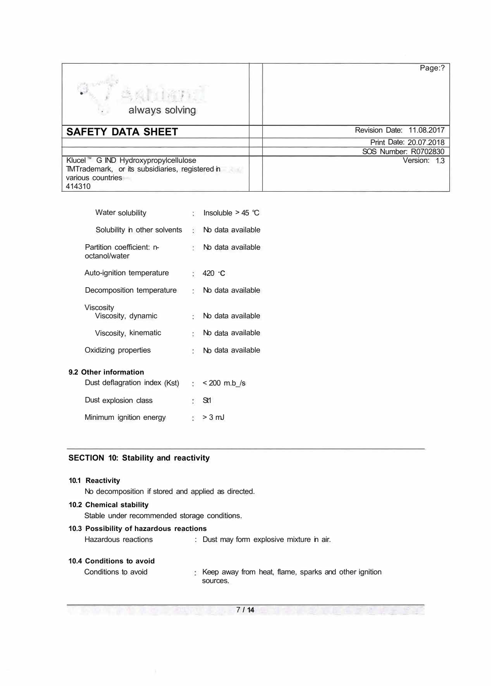| sabiand<br>always solving<br>$\mathcal{L}_{\mathcal{F}}$ .                                                              | Page:?                    |
|-------------------------------------------------------------------------------------------------------------------------|---------------------------|
| <b>SAFETY DATA SHEET</b>                                                                                                | Revision Date: 11.08.2017 |
|                                                                                                                         | Print Date: 20.07.2018    |
|                                                                                                                         | SOS Number: R0702830      |
| Klucel ™ G IND Hydroxypropylcellulose<br>TMTrademark, or its subsidiaries, registered in<br>various countries<br>414310 | Version: 1.3              |

|                           | Insoluble $>$ 45 °C                                                  |
|---------------------------|----------------------------------------------------------------------|
|                           | No data available                                                    |
|                           | No data available                                                    |
|                           | $: 420 \text{ } C$                                                   |
| Decomposition temperature | : No data available                                                  |
|                           | No data available                                                    |
|                           | No data available                                                    |
|                           | No data available                                                    |
|                           | $\frac{1}{2}$ < 200 m.b /s                                           |
|                           | <b>St1</b>                                                           |
|                           |                                                                      |
|                           | $\therefore$ > 3 mJ                                                  |
|                           | $\ddot{\ddot{\psi}}$<br>÷.<br>÷.<br>t.<br>t.<br>$\ddot{\phantom{a}}$ |

# **SECTION 10: Stability and reactivity**

| 10.1 Reactivity                                     |    |                                                                   |  |  |
|-----------------------------------------------------|----|-------------------------------------------------------------------|--|--|
| No decomposition if stored and applied as directed. |    |                                                                   |  |  |
| 10.2 Chemical stability                             |    |                                                                   |  |  |
| Stable under recommended storage conditions.        |    |                                                                   |  |  |
| 10.3 Possibility of hazardous reactions             |    |                                                                   |  |  |
| Hazardous reactions                                 |    | : Dust may form explosive mixture in air.                         |  |  |
|                                                     |    |                                                                   |  |  |
| 10.4 Conditions to avoid                            |    |                                                                   |  |  |
| Conditions to avoid                                 | 22 | Keep away from heat, flame, sparks and other ignition<br>sources. |  |  |
|                                                     |    |                                                                   |  |  |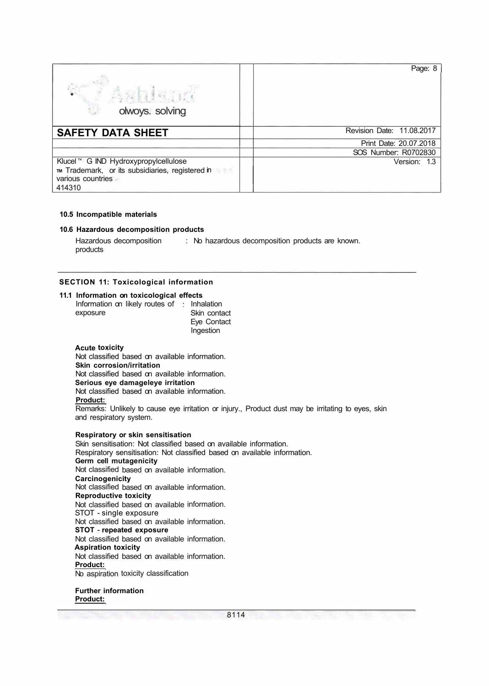| olwoys. solving                                                                                                          | Page: 8                   |
|--------------------------------------------------------------------------------------------------------------------------|---------------------------|
| <b>SAFETY DATA SHEET</b>                                                                                                 | Revision Date: 11.08.2017 |
|                                                                                                                          | Print Date: 20.07.2018    |
|                                                                                                                          | SOS Number: R0702830      |
| Klucel ™ G IND Hydroxypropylcellulose<br>TM Trademark, or its subsidiaries, registered in<br>various countries<br>414310 | Version: 1.3              |

#### **10.5 Incompatible materials**

#### **10.6 Hazardous decomposition products**

Hazardous decomposition products : No hazardous decomposition products are known.

#### **SECTION 11: Toxicological information**

#### **11.1 Information on toxicological effects**

| Information on likely routes of : Inhalation |              |
|----------------------------------------------|--------------|
| exposure                                     | Skin contact |
|                                              | Eye Contact  |
|                                              | Ingestion    |

## **Acute toxicity**

Not classified based on available information. **Skin corrosion/irritation**  Not classified based on available information. **Serious eye damageleye irritation**  Not classified based on available information. **Product:** 

Remarks: Unlikely to cause eye irritation or injury., Product dust may be irritating to eyes, skin and respiratory system.

#### **Respiratory or skin sensitisation**

Skin sensitisation: Not classified based on available information. Respiratory sensitisation: Not classified based on available information. **Germ cell mutagenicity**  Not classified based on available information. **Carcinogenicity**  Not classified based on available information. **Reproductive toxicity**  Not classified based on available information. STOT - single exposure Not classified based on available information. **STOT** - **repeated exposure**  Not classified based on available information. **Aspiration toxicity**  Not classified based on available information. **Product:**  No aspiration toxicity classification **Further information** 

**Product:**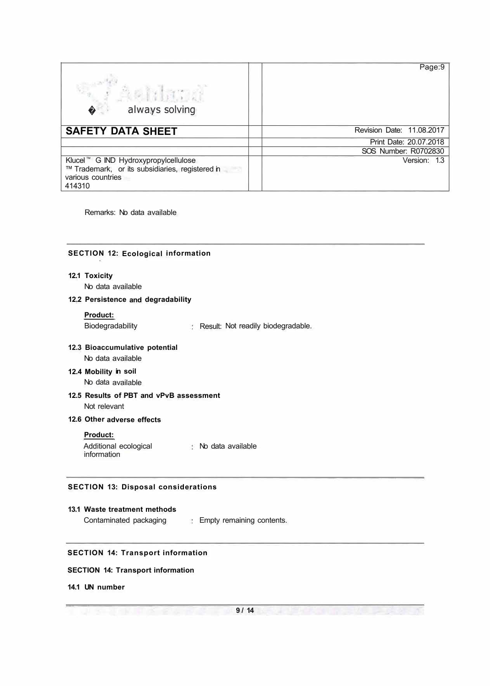| Aehhana<br>always solving<br>$\bullet$                                                                                  | Page:9                    |
|-------------------------------------------------------------------------------------------------------------------------|---------------------------|
| <b>SAFETY DATA SHEET</b>                                                                                                | Revision Date: 11.08.2017 |
|                                                                                                                         | Print Date: 20.07.2018    |
|                                                                                                                         | SOS Number: R0702830      |
| Klucel ™ G IND Hydroxypropylcellulose<br>™ Trademark, or its subsidiaries, registered in<br>various countries<br>414310 | Version: 1.3              |

Remarks: No data available

## **SECTION 12: Ecological information**

## **12.1 Toxicity**

No data available

# **12.2 Persistence and degradability**

## **Product:**

Biodegradability Result: Not readily biodegradable.

# **12.3 Bioaccumulative potential**

No data available

## **12.4 Mobility in soil**  No data available

**12.5 Results of PBT and vPvB assessment**  Not relevant

#### **12.6 Other adverse effects**

**Product:** 

Additional ecological information No data available

# **SECTION 13: Disposal considerations**

#### **13.1 Waste treatment methods**

Contaminated packaging : Empty remaining contents.

# **SECTION 14: Transport information**

## **SECTION 14: Transport information**

#### **14.1 UN number**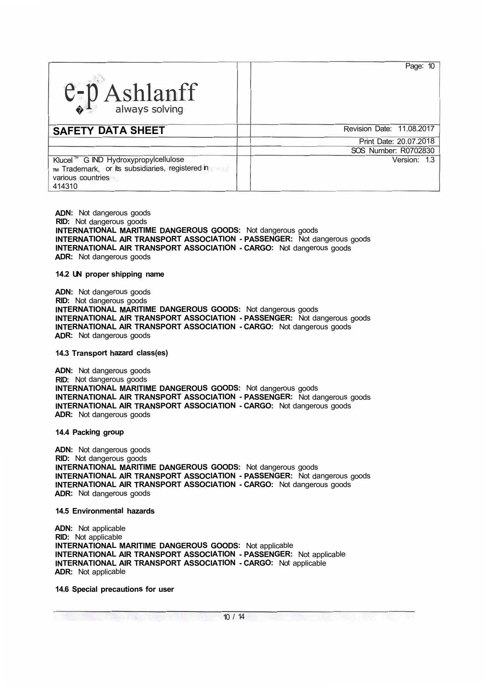| $e_p$ Ashlanff                                                                                                           | Page: 10                  |
|--------------------------------------------------------------------------------------------------------------------------|---------------------------|
| <b>SAFETY DATA SHEET</b>                                                                                                 | Revision Date: 11.08.2017 |
|                                                                                                                          | Print Date: 20.07.2018    |
|                                                                                                                          | SOS Number: R0702830      |
| Klucel ™ G IND Hydroxypropylcellulose<br>TM Trademark, or its subsidiaries, registered in<br>various countries<br>414310 | Version: 1.3              |

**ADN:** Not dangerous goods **RID:** Not dangerous goods **INTERNATIONAL MARITIME DANGEROUS GOODS:** Not dangerous goods **INTERNATIONAL AIR TRANSPORT ASSOCIATION - PASSENGER:** Not dangerous goods **INTERNATIONAL AIR TRANSPORT ASSOCIATION - CARGO:** Not dangerous goods **ADR:** Not dangerous goods

#### **14.2 UN proper shipping name**

**ADN:** Not dangerous goods **RID:** Not dangerous goods **INTERNATIONAL MARITIME DANGEROUS GOODS:** Not dangerous goods **INTERNATIONAL AIR TRANSPORT ASSOCIATION - PASSENGER:** Not dangerous goods **INTERNATIONAL AIR TRANSPORT ASSOCIATION - CARGO:** Not dangerous goods **ADR:** Not dangerous goods

#### **14.3 Transport hazard class(es)**

**ADN:** Not dangerous goods RID: Not dangerous goods **INTERNATIONAL MARITIME DANGEROUS GOODS:** Not dangerous goods **INTERNATIONAL AIR TRANSPORT ASSOCIATION - PASSENGER:** Not dangerous goods **INTERNATIONAL AIR TRANSPORT ASSOCIATION - CARGO:** Not dangerous goods **ADR:** Not dangerous goods

#### **14.4 Packing group**

**ADN:** Not dangerous goods **RID:** Not dangerous goods **INTERNATIONAL MARITIME DANGEROUS GOODS:** Not dangerous goods **INTERNATIONAL AIR TRANSPORT ASSOCIATION - PASSENGER:** Not dangerous goods **INTERNATIONAL AIR TRANSPORT ASSOCIATION - CARGO:** Not dangerous goods **ADR:** Not dangerous goods

#### **14.5 Environmental hazards**

**ADN:** Not applicable **RID:** Not applicable **INTERNATIONAL MARITIME DANGEROUS GOODS:** Not applicable **INTERNATIONAL AIR TRANSPORT ASSOCIATION - PASSENGER:** Not applicable **INTERNATIONAL AIR TRANSPORT ASSOCIATION - CARGO:** Not applicable **ADR:** Not applicable

# **14.6 Special precautions for user**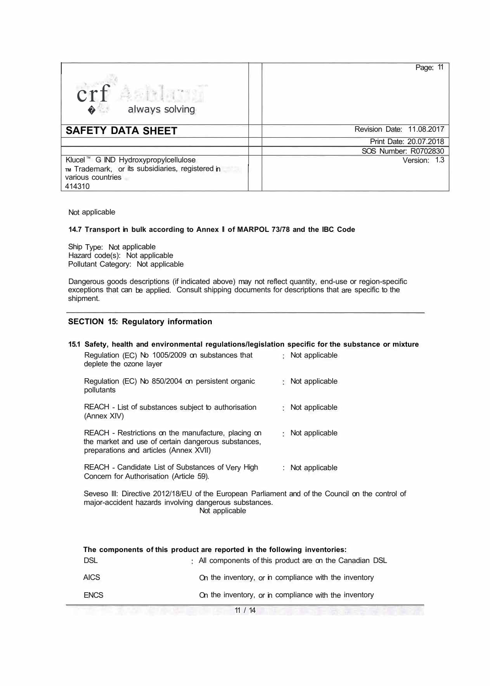| crf Ashland<br>always solving<br>$\bullet$ .                                                                             | Page: 11                  |
|--------------------------------------------------------------------------------------------------------------------------|---------------------------|
| <b>SAFETY DATA SHEET</b>                                                                                                 | Revision Date: 11.08.2017 |
|                                                                                                                          | Print Date: 20.07.2018    |
|                                                                                                                          | SOS Number: R0702830      |
| Klucel ™ G IND Hydroxypropylcellulose<br>TM Trademark, or its subsidiaries, registered in<br>various countries<br>414310 | Version: 1.3              |

Not applicable

#### 14.7 Transport in bulk according to Annex || of MARPOL 73/78 and the IBC Code

Ship Type: Not applicable Hazard code(s): Not applicable Pollutant Category: Not applicable

Dangerous goods descriptions (if indicated above) may not reflect quantity, end-use or region-specific exceptions that can be applied. Consult shipping documents for descriptions that are specific to the shipment.

#### **SECTION 15: Regulatory information**

## **15.1 Safety, health and environmental regulations/legislation specific for the substance or mixture**  Regulation (EC) No 1005/2009 on substances that 1 Not applicable deplete the ozone layer Regulation (EC) No 850/2004 on persistent organic pollutants REACH - List of substances subject to authorisation (Annex XIV) REACH - Restrictions on the manufacture, placing on the market and use of certain dangerous substances, preparations and articles (Annex XVII) REACH - Candidate List of Substances of Very High Concern for Authorisation (Article 59). Not applicable Not applicable : Not applicable : Not applicable Seveso Ill: Directive 2012/18/EU of the European Parliament and of the Council on the control of

major-accident hazards involving dangerous substances. Not applicable

| The components of this product are reported in the following inventories: |                                                          |  |  |
|---------------------------------------------------------------------------|----------------------------------------------------------|--|--|
| <b>DSL</b>                                                                | : All components of this product are on the Canadian DSL |  |  |
| <b>AICS</b>                                                               | On the inventory, or in compliance with the inventory    |  |  |
| <b>ENCS</b>                                                               | On the inventory, or in compliance with the inventory    |  |  |

 $11 / 14$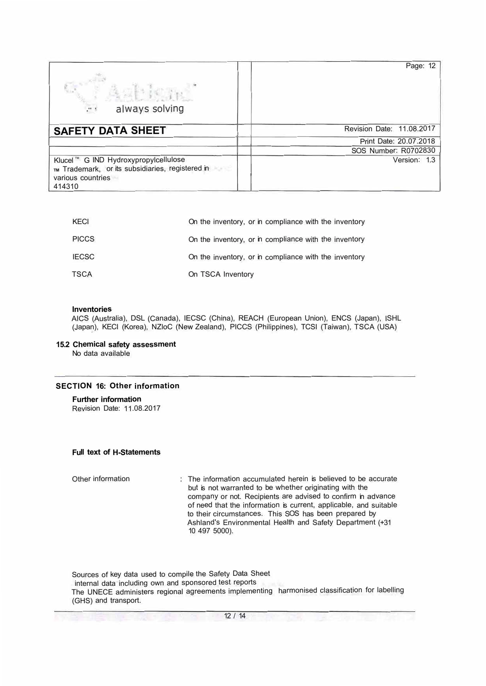| always solving<br>$\mu$ .                                                                                                               | Page: 12                  |
|-----------------------------------------------------------------------------------------------------------------------------------------|---------------------------|
| <b>SAFETY DATA SHEET</b>                                                                                                                | Revision Date: 11.08.2017 |
|                                                                                                                                         | Print Date: 20.07.2018    |
|                                                                                                                                         | SOS Number: R0702830      |
| Klucel ™ G IND Hydroxypropylcellulose<br>TM Trademark, or its subsidiaries, registered in<br><b>KANS</b><br>various countries<br>414310 | Version: 1.3              |

| KECI         | On the inventory, or in compliance with the inventory |
|--------------|-------------------------------------------------------|
| <b>PICCS</b> | On the inventory, or in compliance with the inventory |
| <b>IECSC</b> | On the inventory, or in compliance with the inventory |
| <b>TSCA</b>  | On TSCA Inventory                                     |

#### **Inventories**

AICS (Australia), DSL (Canada), IECSC (China), REACH (European Union), ENCS (Japan), ISHL (Japan), KECI (Korea), NZloC (New Zealand), PICCS (Philippines), TCSI (Taiwan), TSCA (USA)

#### **15.2 Chemical safety assessment**

No data available

## **SECTION 16: Other information**

# **Further information**

Revision Date: 11.08.2017

#### **Full text of H-Statements**

Other information The information accumulated herein is believed to be accurate but is not warranted to be whether originating with the company or not. Recipients are advised to confirm in advance of need that the information is current, applicable, and suitable to their circumstances. This SOS has been prepared by Ashland's Environmental Health and Safety Department (+31 10 497 5000).

Sources of key data used to compile the Safety Data Sheet internal data including own and sponsored test reports The UNECE administers regional agreements implementing harmonised classification for labelling (GHS) and transport.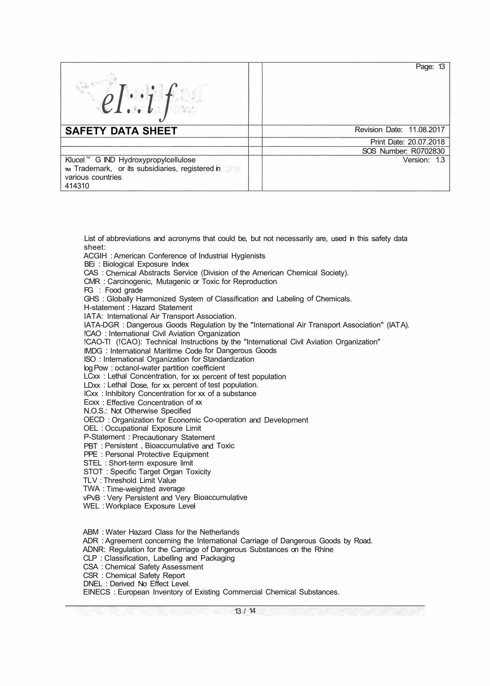| $el:$ if                                                                                                                  | Page: 13                  |
|---------------------------------------------------------------------------------------------------------------------------|---------------------------|
| <b>SAFETY DATA SHEET</b>                                                                                                  | Revision Date: 11.08.2017 |
|                                                                                                                           | Print Date: 20.07.2018    |
|                                                                                                                           | SOS Number: R0702830      |
| Klucel ™ G IND Hydroxypropylcellulose<br>TIM Trademark, or its subsidiaries, registered in<br>various countries<br>414310 | Version: 1.3              |

List of abbreviations and acronyms that could be, but not necessarily are, used in this safety data sheet:

ACGIH : American Conference of Industrial Hygienists

BEi : Biological Exposure Index

CAS : Chemical Abstracts Service (Division of the American Chemical Society).

CMR : Carcinogenic, Mutagenic or Toxic for Reproduction

FG : Food grade

GHS : Globally Harmonized System of Classification and Labeling of Chemicals.

H-statement : Hazard Statement

IATA: International Air Transport Association.

IATA-DGR : Dangerous Goods Regulation by the "International Air Transport Association" (IATA).

!CAO : International Civil Aviation Organization

!CAO-Tl (!CAO): Technical Instructions by the "International Civil Aviation Organization"

IMDG : International Maritime Code for Dangerous Goods

ISO : International Organization for Standardization

log Pow : octanol-water partition coefficient

LCxx : Lethal Concentration, for xx percent of test population

LDxx : Lethal Dose, for xx percent of test population.

ICxx : Inhibitory Concentration for xx of a substance

Ecxx : Effective Concentration of xx

N.O.S.: Not Otherwise Specified

OECD : Organization for Economic Co-operation and Development

OEL : Occupational Exposure Limit

P-Statement : Precautionary Statement

PBT : Persistent , Bioaccumulative and Toxic

PPE : Personal Protective Equipment

STEL : Short-term exposure limit

STOT : Specific Target Organ Toxicity

TL V : Threshold Limit Value

TWA : Time-weighted average

vPvB : Very Persistent and Very Bioaccumulative

WEL : Workplace Exposure Level

ABM : Water Hazard Class for the Netherlands ADR : Agreement concerning the International Carriage of Dangerous Goods by Road. ADNR: Regulation for the Carriage of Dangerous Substances on the Rhine CLP : Classification, Labelling and Packaging CSA : Chemical Safety Assessment CSR : Chemical Safety Report DNEL : Derived No Effect Level. EINECS : European Inventory of Existing Commercial Chemical Substances.